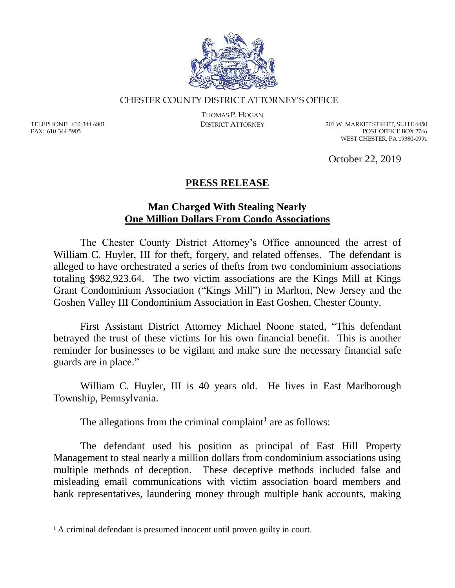

## CHESTER COUNTY DISTRICT ATTORNEY'S OFFICE

TELEPHONE: 610-344-6801 FAX: 610-344-5905

 $\overline{a}$ 

THOMAS P. HOGAN

DISTRICT ATTORNEY 201 W. MARKET STREET, SUITE 4450 POST OFFICE BOX 2746 WEST CHESTER, PA 19380-0991

October 22, 2019

## **PRESS RELEASE**

## **Man Charged With Stealing Nearly One Million Dollars From Condo Associations**

The Chester County District Attorney's Office announced the arrest of William C. Huyler, III for theft, forgery, and related offenses. The defendant is alleged to have orchestrated a series of thefts from two condominium associations totaling \$982,923.64. The two victim associations are the Kings Mill at Kings Grant Condominium Association ("Kings Mill") in Marlton, New Jersey and the Goshen Valley III Condominium Association in East Goshen, Chester County.

First Assistant District Attorney Michael Noone stated, "This defendant betrayed the trust of these victims for his own financial benefit. This is another reminder for businesses to be vigilant and make sure the necessary financial safe guards are in place."

William C. Huyler, III is 40 years old. He lives in East Marlborough Township, Pennsylvania.

The allegations from the criminal complaint<sup>1</sup> are as follows:

The defendant used his position as principal of East Hill Property Management to steal nearly a million dollars from condominium associations using multiple methods of deception. These deceptive methods included false and misleading email communications with victim association board members and bank representatives, laundering money through multiple bank accounts, making

<sup>&</sup>lt;sup>1</sup> A criminal defendant is presumed innocent until proven guilty in court.